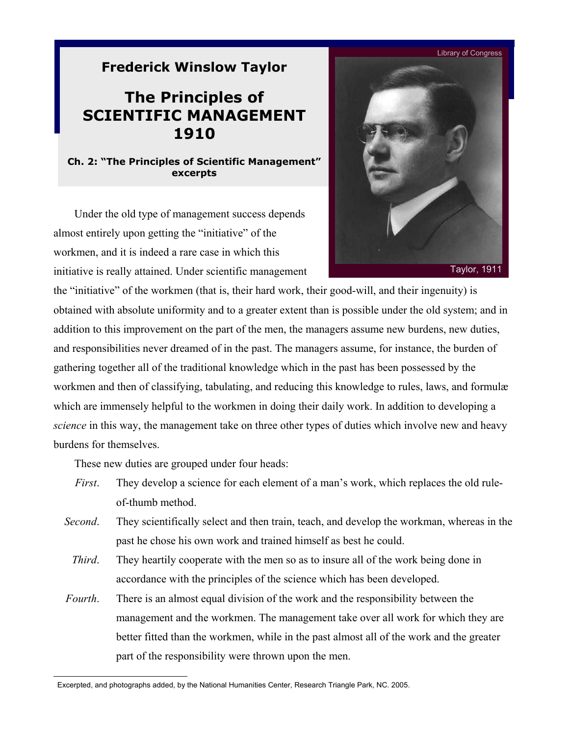## **Frederick Winslow Taylor**

## **The Principles of SCIENTIFIC MANAGEMENT 1910**

## **Ch. 2: "The Principles of Scientific Management" excerpts**

Under the old type of management success depends[\\*](#page-0-0) almost entirely upon getting the "initiative" of the workmen, and it is indeed a rare case in which this initiative is really attained. Under scientific management



the "initiative" of the workmen (that is, their hard work, their good-will, and their ingenuity) is obtained with absolute uniformity and to a greater extent than is possible under the old system; and in addition to this improvement on the part of the men, the managers assume new burdens, new duties, and responsibilities never dreamed of in the past. The managers assume, for instance, the burden of gathering together all of the traditional knowledge which in the past has been possessed by the workmen and then of classifying, tabulating, and reducing this knowledge to rules, laws, and formulæ which are immensely helpful to the workmen in doing their daily work. In addition to developing a *science* in this way, the management take on three other types of duties which involve new and heavy burdens for themselves.

These new duties are grouped under four heads:

l

- *First*. They develop a science for each element of a man's work, which replaces the old ruleof-thumb method.
- *Second.* They scientifically select and then train, teach, and develop the workman, whereas in the past he chose his own work and trained himself as best he could.
	- *Third.* They heartily cooperate with the men so as to insure all of the work being done in accordance with the principles of the science which has been developed.
- *Fourth*. There is an almost equal division of the work and the responsibility between the management and the workmen. The management take over all work for which they are better fitted than the workmen, while in the past almost all of the work and the greater part of the responsibility were thrown upon the men.

<span id="page-0-0"></span>Excerpted, and photographs added, by the National Humanities Center, Research Triangle Park, NC. 2005.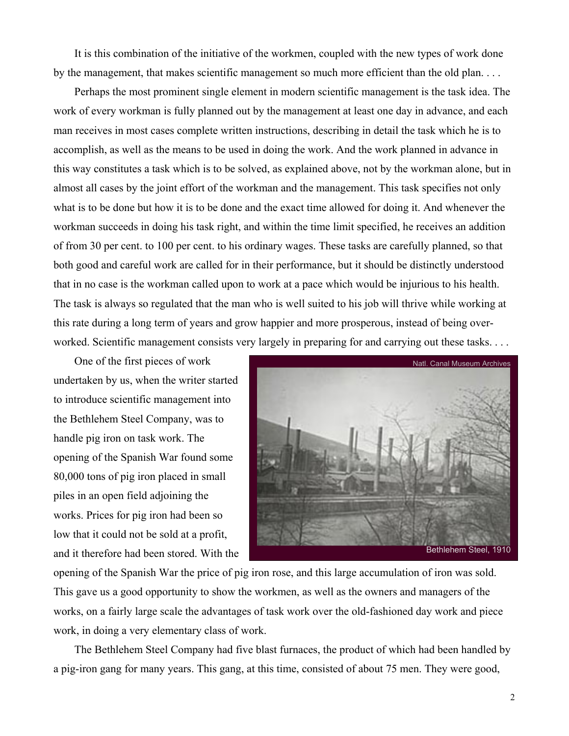It is this combination of the initiative of the workmen, coupled with the new types of work done by the management, that makes scientific management so much more efficient than the old plan. . . .

Perhaps the most prominent single element in modern scientific management is the task idea. The work of every workman is fully planned out by the management at least one day in advance, and each man receives in most cases complete written instructions, describing in detail the task which he is to accomplish, as well as the means to be used in doing the work. And the work planned in advance in this way constitutes a task which is to be solved, as explained above, not by the workman alone, but in almost all cases by the joint effort of the workman and the management. This task specifies not only what is to be done but how it is to be done and the exact time allowed for doing it. And whenever the workman succeeds in doing his task right, and within the time limit specified, he receives an addition of from 30 per cent. to 100 per cent. to his ordinary wages. These tasks are carefully planned, so that both good and careful work are called for in their performance, but it should be distinctly understood that in no case is the workman called upon to work at a pace which would be injurious to his health. The task is always so regulated that the man who is well suited to his job will thrive while working at this rate during a long term of years and grow happier and more prosperous, instead of being overworked. Scientific management consists very largely in preparing for and carrying out these tasks. . . .

One of the first pieces of work undertaken by us, when the writer started to introduce scientific management into the Bethlehem Steel Company, was to handle pig iron on task work. The opening of the Spanish War found some 80,000 tons of pig iron placed in small piles in an open field adjoining the works. Prices for pig iron had been so low that it could not be sold at a profit, and it therefore had been stored. With the



opening of the Spanish War the price of pig iron rose, and this large accumulation of iron was sold. This gave us a good opportunity to show the workmen, as well as the owners and managers of the works, on a fairly large scale the advantages of task work over the old-fashioned day work and piece work, in doing a very elementary class of work.

The Bethlehem Steel Company had five blast furnaces, the product of which had been handled by a pig-iron gang for many years. This gang, at this time, consisted of about 75 men. They were good,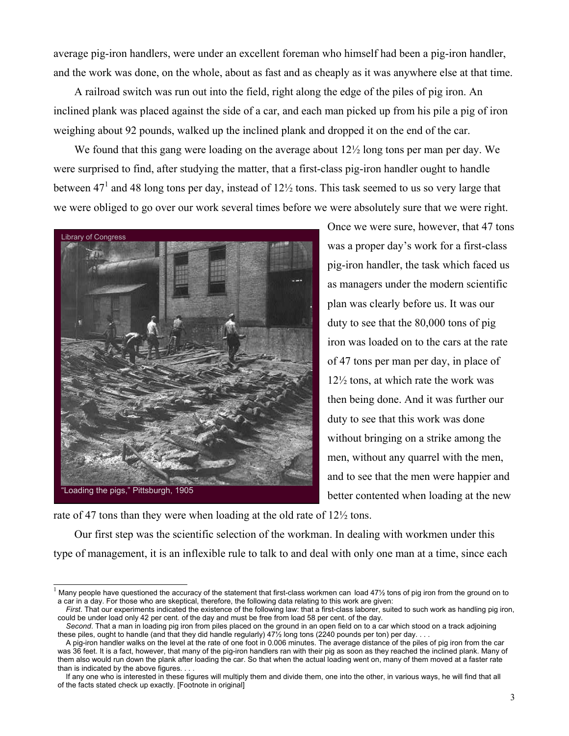average pig-iron handlers, were under an excellent foreman who himself had been a pig-iron handler, and the work was done, on the whole, about as fast and as cheaply as it was anywhere else at that time.

A railroad switch was run out into the field, right along the edge of the piles of pig iron. An inclined plank was placed against the side of a car, and each man picked up from his pile a pig of iron weighing about 92 pounds, walked up the inclined plank and dropped it on the end of the car.

We found that this gang were loading on the average about  $12\frac{1}{2}$  long tons per man per day. We were surprised to find, after studying the matter, that a first-class pig-iron handler ought to handle between 47<sup>[1](#page-2-0)</sup> and 48 long tons per day, instead of  $12\frac{1}{2}$  tons. This task seemed to us so very large that we were obliged to go over our work several times before we were absolutely sure that we were right.



Once we were sure, however, that 47 tons was a proper day's work for a first-class pig-iron handler, the task which faced us as managers under the modern scientific plan was clearly before us. It was our duty to see that the 80,000 tons of pig iron was loaded on to the cars at the rate of 47 tons per man per day, in place of 12½ tons, at which rate the work was then being done. And it was further our duty to see that this work was done without bringing on a strike among the men, without any quarrel with the men, and to see that the men were happier and better contented when loading at the new

rate of 47 tons than they were when loading at the old rate of 12½ tons.

Our first step was the scientific selection of the workman. In dealing with workmen under this type of management, it is an inflexible rule to talk to and deal with only one man at a time, since each

<span id="page-2-0"></span><sup>1&</sup>lt;br>I Many people have questioned the accuracy of the statement that first-class workmen can load 47½ tons of pig iron from the ground on to a car in a day. For those who are skeptical, therefore, the following data relating to this work are given:

*First*. That our experiments indicated the existence of the following law: that a first-class laborer, suited to such work as handling pig iron, could be under load only 42 per cent. of the day and must be free from load 58 per cent. of the day.

*Second*. That a man in loading pig iron from piles placed on the ground in an open field on to a car which stood on a track adjoining these piles, ought to handle (and that they did handle regularly) 47½ long tons (2240 pounds per ton) per day. . . .

A pig-iron handler walks on the level at the rate of one foot in 0.006 minutes. The average distance of the piles of pig iron from the car was 36 feet. It is a fact, however, that many of the pig-iron handlers ran with their pig as soon as they reached the inclined plank. Many of them also would run down the plank after loading the car. So that when the actual loading went on, many of them moved at a faster rate than is indicated by the above figures. . . .

If any one who is interested in these figures will multiply them and divide them, one into the other, in various ways, he will find that all of the facts stated check up exactly. [Footnote in original]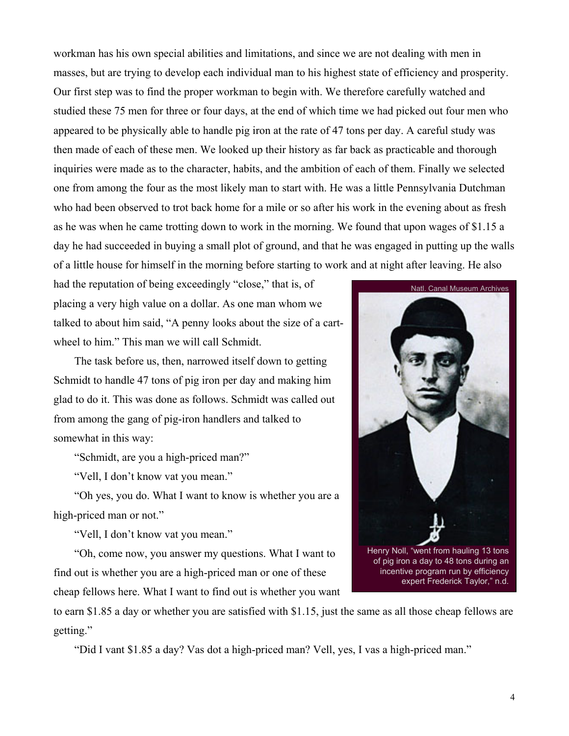workman has his own special abilities and limitations, and since we are not dealing with men in masses, but are trying to develop each individual man to his highest state of efficiency and prosperity. Our first step was to find the proper workman to begin with. We therefore carefully watched and studied these 75 men for three or four days, at the end of which time we had picked out four men who appeared to be physically able to handle pig iron at the rate of 47 tons per day. A careful study was then made of each of these men. We looked up their history as far back as practicable and thorough inquiries were made as to the character, habits, and the ambition of each of them. Finally we selected one from among the four as the most likely man to start with. He was a little Pennsylvania Dutchman who had been observed to trot back home for a mile or so after his work in the evening about as fresh as he was when he came trotting down to work in the morning. We found that upon wages of \$1.15 a day he had succeeded in buying a small plot of ground, and that he was engaged in putting up the walls of a little house for himself in the morning before starting to work and at night after leaving. He also

had the reputation of being exceedingly "close," that is, of placing a very high value on a dollar. As one man whom we talked to about him said, "A penny looks about the size of a cartwheel to him." This man we will call Schmidt.

The task before us, then, narrowed itself down to getting Schmidt to handle 47 tons of pig iron per day and making him glad to do it. This was done as follows. Schmidt was called out from among the gang of pig-iron handlers and talked to somewhat in this way:

"Schmidt, are you a high-priced man?"

"Vell, I don't know vat you mean."

"Oh yes, you do. What I want to know is whether you are a high-priced man or not."

"Vell, I don't know vat you mean."

"Oh, come now, you answer my questions. What I want to find out is whether you are a high-priced man or one of these cheap fellows here. What I want to find out is whether you want

to earn \$1.85 a day or whether you are satisfied with \$1.15, just the same as all those cheap fellows are getting."

"Did I vant \$1.85 a day? Vas dot a high-priced man? Vell, yes, I vas a high-priced man."

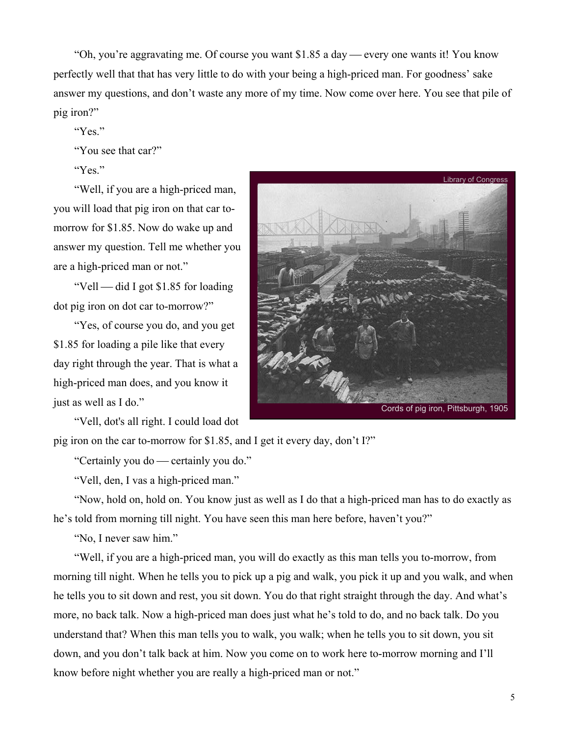"Oh, you're aggravating me. Of course you want \$1.85 a day — every one wants it! You know perfectly well that that has very little to do with your being a high-priced man. For goodness' sake answer my questions, and don't waste any more of my time. Now come over here. You see that pile of pig iron?"

"Yes."

"You see that car?"

"Yes."

"Well, if you are a high-priced man, you will load that pig iron on that car tomorrow for \$1.85. Now do wake up and answer my question. Tell me whether you are a high-priced man or not."

"Vell — did I got  $$1.85$  for loading dot pig iron on dot car to-morrow?"

"Yes, of course you do, and you get \$1.85 for loading a pile like that every day right through the year. That is what a high-priced man does, and you know it just as well as I do."

"Vell, dot's all right. I could load dot

Library of Congress Cords of pig iron, Pittsburgh, 1905

pig iron on the car to-morrow for \$1.85, and I get it every day, don't I?"

"Certainly you do — certainly you do."

"Vell, den, I vas a high-priced man."

"Now, hold on, hold on. You know just as well as I do that a high-priced man has to do exactly as he's told from morning till night. You have seen this man here before, haven't you?"

"No, I never saw him."

"Well, if you are a high-priced man, you will do exactly as this man tells you to-morrow, from morning till night. When he tells you to pick up a pig and walk, you pick it up and you walk, and when he tells you to sit down and rest, you sit down. You do that right straight through the day. And what's more, no back talk. Now a high-priced man does just what he's told to do, and no back talk. Do you understand that? When this man tells you to walk, you walk; when he tells you to sit down, you sit down, and you don't talk back at him. Now you come on to work here to-morrow morning and I'll know before night whether you are really a high-priced man or not."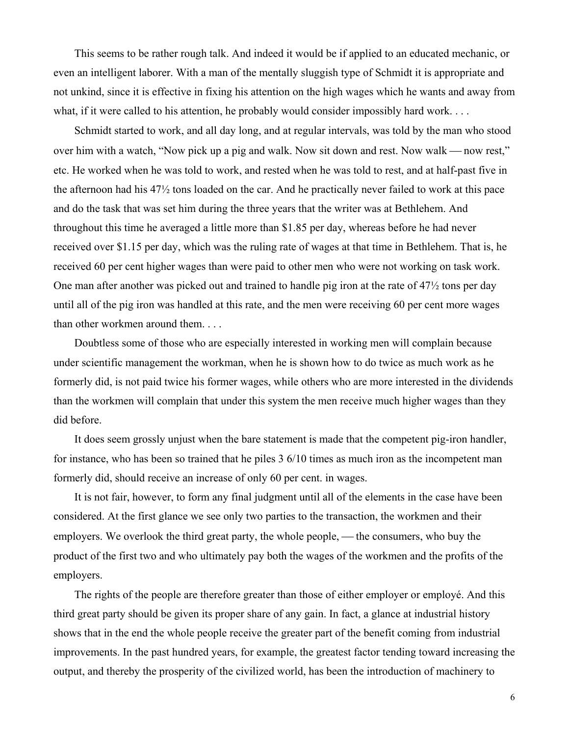This seems to be rather rough talk. And indeed it would be if applied to an educated mechanic, or even an intelligent laborer. With a man of the mentally sluggish type of Schmidt it is appropriate and not unkind, since it is effective in fixing his attention on the high wages which he wants and away from what, if it were called to his attention, he probably would consider impossibly hard work. . . .

Schmidt started to work, and all day long, and at regular intervals, was told by the man who stood over him with a watch, "Now pick up a pig and walk. Now sit down and rest. Now walk — now rest," etc. He worked when he was told to work, and rested when he was told to rest, and at half-past five in the afternoon had his 47½ tons loaded on the car. And he practically never failed to work at this pace and do the task that was set him during the three years that the writer was at Bethlehem. And throughout this time he averaged a little more than \$1.85 per day, whereas before he had never received over \$1.15 per day, which was the ruling rate of wages at that time in Bethlehem. That is, he received 60 per cent higher wages than were paid to other men who were not working on task work. One man after another was picked out and trained to handle pig iron at the rate of 47½ tons per day until all of the pig iron was handled at this rate, and the men were receiving 60 per cent more wages than other workmen around them. . . .

Doubtless some of those who are especially interested in working men will complain because under scientific management the workman, when he is shown how to do twice as much work as he formerly did, is not paid twice his former wages, while others who are more interested in the dividends than the workmen will complain that under this system the men receive much higher wages than they did before.

It does seem grossly unjust when the bare statement is made that the competent pig-iron handler, for instance, who has been so trained that he piles 3 6/10 times as much iron as the incompetent man formerly did, should receive an increase of only 60 per cent. in wages.

It is not fair, however, to form any final judgment until all of the elements in the case have been considered. At the first glance we see only two parties to the transaction, the workmen and their employers. We overlook the third great party, the whole people, — the consumers, who buy the product of the first two and who ultimately pay both the wages of the workmen and the profits of the employers.

The rights of the people are therefore greater than those of either employer or employé. And this third great party should be given its proper share of any gain. In fact, a glance at industrial history shows that in the end the whole people receive the greater part of the benefit coming from industrial improvements. In the past hundred years, for example, the greatest factor tending toward increasing the output, and thereby the prosperity of the civilized world, has been the introduction of machinery to